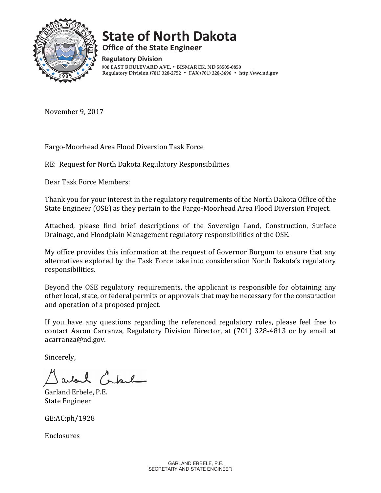

# **State of North Dakota**

**Office of the State Engineer** 

**Regulatory Division 900 EAST BOULEVARD AVE. • BISMARCK, ND 58505-0850 Regulatory Division (701) 328-2752 • FAX (701) 328-3696 • http://swc.nd.gov**

November 9, 2017

Fargo-Moorhead Area Flood Diversion Task Force

RE: Request for North Dakota Regulatory Responsibilities

Dear Task Force Members:

Thank you for your interest in the regulatory requirements of the North Dakota Office of the State Engineer (OSE) as they pertain to the Fargo-Moorhead Area Flood Diversion Project.

Attached, please find brief descriptions of the Sovereign Land, Construction, Surface Drainage, and Floodplain Management regulatory responsibilities of the OSE.

My office provides this information at the request of Governor Burgum to ensure that any alternatives explored by the Task Force take into consideration North Dakota's regulatory responsibilities.

Beyond the OSE regulatory requirements, the applicant is responsible for obtaining any other local, state, or federal permits or approvals that may be necessary for the construction and operation of a proposed project.

If you have any questions regarding the referenced regulatory roles, please feel free to contact Aaron Carranza, Regulatory Division Director, at (701) 328-4813 or by email at acarranza@nd.gov.

Sincerely,

arland Contact

Garland Erbele, P.E. **State Engineer** 

GE:AC:ph/1928

Enclosures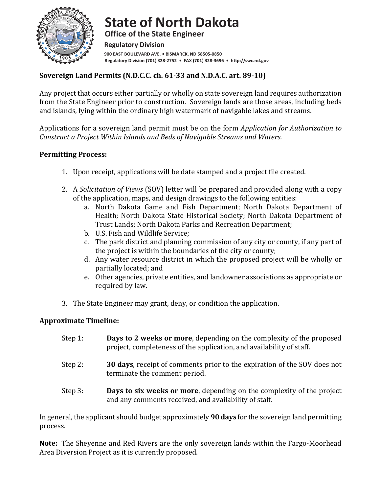

**State of North Dakota Office of the State Engineer Regulatory Division** 900 EAST BOULEVARD AVE. . BISMARCK, ND 58505-0850 Regulatory Division (701) 328-2752 • FAX (701) 328-3696 • http://swc.nd.gov

# **Sovereign Land Permits (N.D.C.C. ch. 61-33 and N.D.A.C. art. 89-10)**

Any project that occurs either partially or wholly on state sovereign land requires authorization from the State Engineer prior to construction. Sovereign lands are those areas, including beds and islands, lying within the ordinary high watermark of navigable lakes and streams.

Applications for a sovereign land permit must be on the form *Application for Authorization to Construct a Project Within Islands and Beds of Navigable Streams and Waters.* 

#### **Permitting Process:**

- 1. Upon receipt, applications will be date stamped and a project file created.
- 2. A *Solicitation of Views* (SOV) letter will be prepared and provided along with a copy of the application, maps, and design drawings to the following entities:
	- a. North Dakota Game and Fish Department; North Dakota Department of Health; North Dakota State Historical Society; North Dakota Department of Trust Lands; North Dakota Parks and Recreation Department;
	- b. U.S. Fish and Wildlife Service;
	- c. The park district and planning commission of any city or county, if any part of the project is within the boundaries of the city or county;
	- d. Any water resource district in which the proposed project will be wholly or partially located; and
	- e. Other agencies, private entities, and landowner associations as appropriate or required by law.
- 3. The State Engineer may grant, deny, or condition the application.

#### **Approximate Timeline:**

| Step 1: | <b>Days to 2 weeks or more, depending on the complexity of the proposed</b><br>project, completeness of the application, and availability of staff. |
|---------|-----------------------------------------------------------------------------------------------------------------------------------------------------|
| Step 2: | <b>30 days, receipt of comments prior to the expiration of the SOV does not</b><br>terminate the comment period.                                    |
| Step 3: | <b>Days to six weeks or more, depending on the complexity of the project</b><br>and any comments received, and availability of staff.               |

In general, the applicant should budget approximately **90 days** for the sovereign land permitting process.

**Note:** The Sheyenne and Red Rivers are the only sovereign lands within the Fargo-Moorhead Area Diversion Project as it is currently proposed.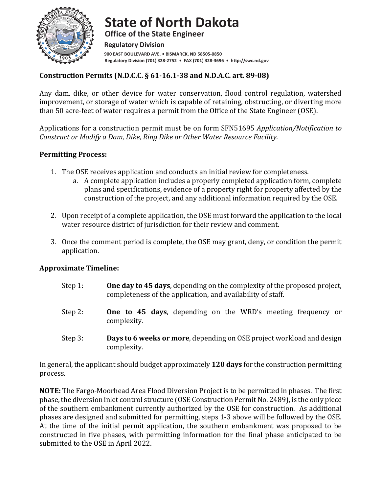

**State of North Dakota Office of the State Engineer Regulatory Division** 900 EAST BOULEVARD AVE. . BISMARCK, ND 58505-0850 **Regulatory Division (701) 328-2752 • FAX (701) 328-3696 • http://swc.nd.gov**

## **Construction Permits (N.D.C.C. § 61-16.1-38 and N.D.A.C. art. 89-08)**

Any dam, dike, or other device for water conservation, flood control regulation, watershed improvement, or storage of water which is capable of retaining, obstructing, or diverting more than 50 acre-feet of water requires a permit from the Office of the State Engineer (OSE).

Applications for a construction permit must be on form SFN51695 *Application/Notification to Construct or Modify a Dam, Dike, Ring Dike or Other Water Resource Facility.* 

#### **Permitting Process:**

- 1. The OSE receives application and conducts an initial review for completeness.
	- a. A complete application includes a properly completed application form, complete plans and specifications, evidence of a property right for property affected by the construction of the project, and any additional information required by the OSE.
- 2. Upon receipt of a complete application, the OSE must forward the application to the local water resource district of jurisdiction for their review and comment.
- 3. Once the comment period is complete, the OSE may grant, deny, or condition the permit application.

#### **Approximate Timeline:**

- Step 1: **One day to 45 days**, depending on the complexity of the proposed project, completeness of the application, and availability of staff.
- Step 2: **One to 45 days**, depending on the WRD's meeting frequency or complexity.
- Step 3: **Days to 6 weeks or more**, depending on OSE project workload and design complexity.

In general, the applicant should budget approximately **120 days** for the construction permitting process.

**NOTE:** The Fargo-Moorhead Area Flood Diversion Project is to be permitted in phases. The first phase, the diversion inlet control structure (OSE Construction Permit No. 2489), is the only piece of the southern embankment currently authorized by the OSE for construction. As additional phases are designed and submitted for permitting, steps 1-3 above will be followed by the OSE. At the time of the initial permit application, the southern embankment was proposed to be constructed in five phases, with permitting information for the final phase anticipated to be submitted to the OSE in April 2022.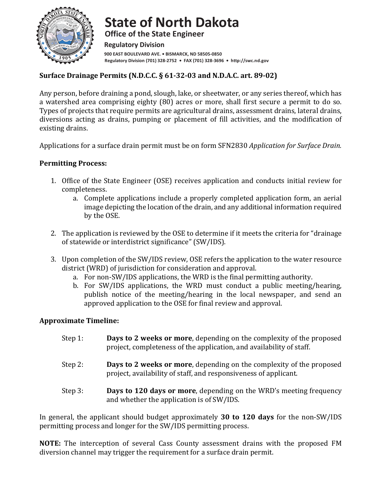

**State of North Dakota Office of the State Engineer Regulatory Division** 900 EAST BOULEVARD AVE. . BISMARCK, ND 58505-0850 Regulatory Division (701) 328-2752 • FAX (701) 328-3696 • http://swc.nd.gov

# **Surface Drainage Permits (N.D.C.C. § 61-32-03 and N.D.A.C. art. 89-02)**

Any person, before draining a pond, slough, lake, or sheetwater, or any series thereof, which has a watershed area comprising eighty (80) acres or more, shall first secure a permit to do so. Types of projects that require permits are agricultural drains, assessment drains, lateral drains, diversions acting as drains, pumping or placement of fill activities, and the modification of existing drains.

Applications for a surface drain permit must be on form SFN2830 *Application for Surface Drain.* 

#### **Permitting Process:**

- 1. Office of the State Engineer (OSE) receives application and conducts initial review for completeness.
	- a. Complete applications include a properly completed application form, an aerial image depicting the location of the drain, and any additional information required by the OSE.
- 2. The application is reviewed by the OSE to determine if it meets the criteria for "drainage" of statewide or interdistrict significance" (SW/IDS).
- 3. Upon completion of the SW/IDS review, OSE refers the application to the water resource district (WRD) of jurisdiction for consideration and approval.
	- a. For non-SW/IDS applications, the WRD is the final permitting authority.
	- b. For SW/IDS applications, the WRD must conduct a public meeting/hearing, publish notice of the meeting/hearing in the local newspaper, and send an approved application to the OSE for final review and approval.

#### **Approximate Timeline:**

| Step 1: | Days to 2 weeks or more, depending on the complexity of the proposed<br>project, completeness of the application, and availability of staff. |
|---------|----------------------------------------------------------------------------------------------------------------------------------------------|
| Step 2: | Days to 2 weeks or more, depending on the complexity of the proposed<br>project, availability of staff, and responsiveness of applicant.     |
| Step 3: | Days to 120 days or more, depending on the WRD's meeting frequency<br>and whether the application is of SW/IDS.                              |

In general, the applicant should budget approximately **30 to 120 days** for the non-SW/IDS permitting process and longer for the SW/IDS permitting process.

**NOTE:** The interception of several Cass County assessment drains with the proposed FM diversion channel may trigger the requirement for a surface drain permit.